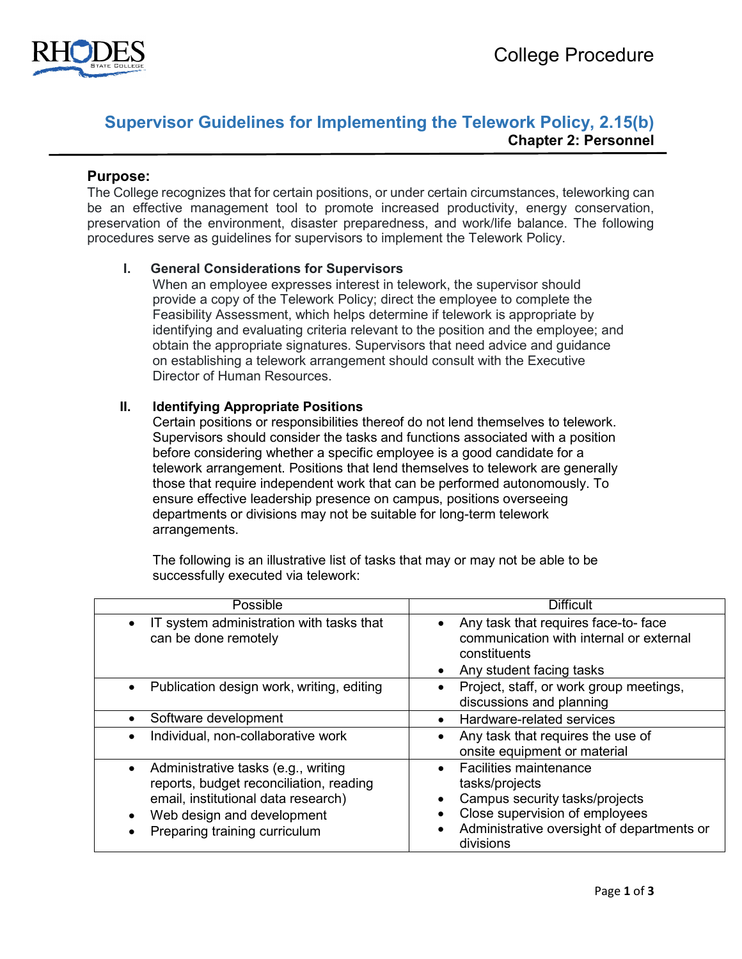

# **Supervisor Guidelines for Implementing the Telework Policy, 2.15(b) Chapter 2: Personnel**

#### **Purpose:**

The College recognizes that for certain positions, or under certain circumstances, teleworking can be an effective management tool to promote increased productivity, energy conservation, preservation of the environment, disaster preparedness, and work/life balance. The following procedures serve as guidelines for supervisors to implement the Telework Policy.

#### **I. General Considerations for Supervisors**

When an employee expresses interest in telework, the supervisor should provide a copy of the Telework Policy; direct the employee to complete the Feasibility Assessment, which helps determine if telework is appropriate by identifying and evaluating criteria relevant to the position and the employee; and obtain the appropriate signatures. Supervisors that need advice and guidance on establishing a telework arrangement should consult with the Executive Director of Human Resources.

#### **II. Identifying Appropriate Positions**

Certain positions or responsibilities thereof do not lend themselves to telework. Supervisors should consider the tasks and functions associated with a position before considering whether a specific employee is a good candidate for a telework arrangement. Positions that lend themselves to telework are generally those that require independent work that can be performed autonomously. To ensure effective leadership presence on campus, positions overseeing departments or divisions may not be suitable for long-term telework arrangements.

The following is an illustrative list of tasks that may or may not be able to be successfully executed via telework:

| Possible                                                                                                                                                                                          | <b>Difficult</b>                                                                                                                                                                                         |  |
|---------------------------------------------------------------------------------------------------------------------------------------------------------------------------------------------------|----------------------------------------------------------------------------------------------------------------------------------------------------------------------------------------------------------|--|
| IT system administration with tasks that<br>$\bullet$<br>can be done remotely                                                                                                                     | Any task that requires face-to-face<br>communication with internal or external<br>constituents<br>Any student facing tasks                                                                               |  |
| Publication design work, writing, editing<br>$\bullet$                                                                                                                                            | Project, staff, or work group meetings,<br>discussions and planning                                                                                                                                      |  |
| Software development                                                                                                                                                                              | Hardware-related services<br>$\bullet$                                                                                                                                                                   |  |
| Individual, non-collaborative work                                                                                                                                                                | Any task that requires the use of<br>onsite equipment or material                                                                                                                                        |  |
| Administrative tasks (e.g., writing<br>$\bullet$<br>reports, budget reconciliation, reading<br>email, institutional data research)<br>Web design and development<br>Preparing training curriculum | <b>Facilities maintenance</b><br>$\bullet$<br>tasks/projects<br>Campus security tasks/projects<br>Close supervision of employees<br>Administrative oversight of departments or<br>$\bullet$<br>divisions |  |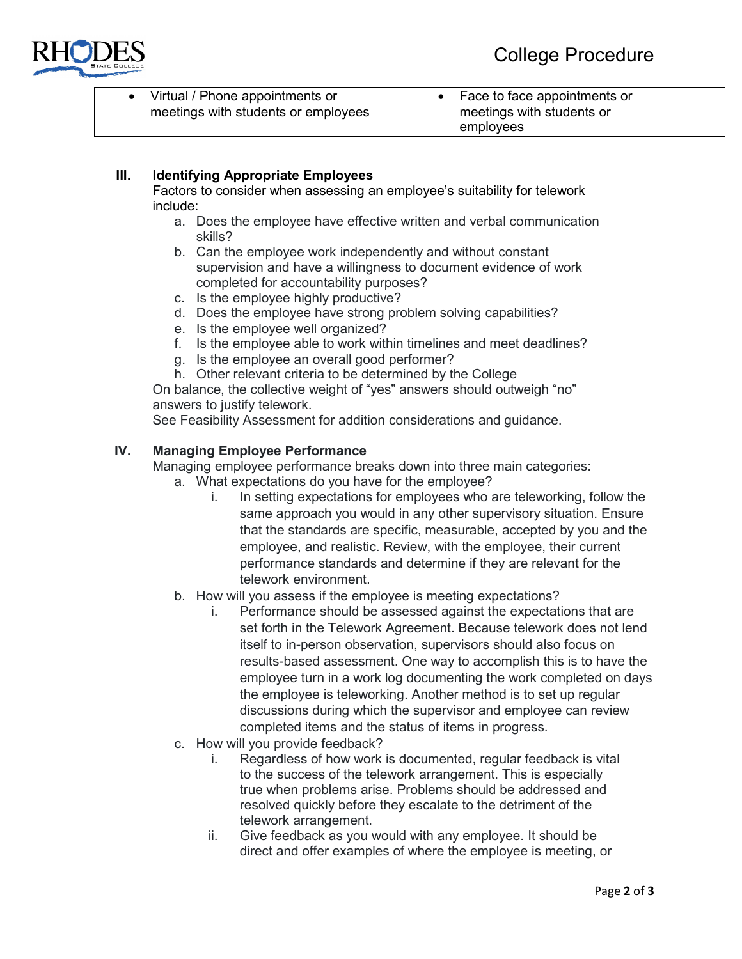

• Virtual / Phone appointments or meetings with students or employees

# **III. Identifying Appropriate Employees**

Factors to consider when assessing an employee's suitability for telework include:

- a. Does the employee have effective written and verbal communication skills?
- b. Can the employee work independently and without constant supervision and have a willingness to document evidence of work completed for accountability purposes?
- c. Is the employee highly productive?
- d. Does the employee have strong problem solving capabilities?
- e. Is the employee well organized?
- f. Is the employee able to work within timelines and meet deadlines?
- g. Is the employee an overall good performer?
- h. Other relevant criteria to be determined by the College

On balance, the collective weight of "yes" answers should outweigh "no" answers to justify telework.

See Feasibility Assessment for addition considerations and guidance.

#### **IV. Managing Employee Performance**

Managing employee performance breaks down into three main categories:

- a. What expectations do you have for the employee?
	- i. In setting expectations for employees who are teleworking, follow the same approach you would in any other supervisory situation. Ensure that the standards are specific, measurable, accepted by you and the employee, and realistic. Review, with the employee, their current performance standards and determine if they are relevant for the telework environment.
- b. How will you assess if the employee is meeting expectations?
	- i. Performance should be assessed against the expectations that are set forth in the Telework Agreement. Because telework does not lend itself to in-person observation, supervisors should also focus on results-based assessment. One way to accomplish this is to have the employee turn in a work log documenting the work completed on days the employee is teleworking. Another method is to set up regular discussions during which the supervisor and employee can review completed items and the status of items in progress.
- c. How will you provide feedback?
	- i. Regardless of how work is documented, regular feedback is vital to the success of the telework arrangement. This is especially true when problems arise. Problems should be addressed and resolved quickly before they escalate to the detriment of the telework arrangement.
	- ii. Give feedback as you would with any employee. It should be direct and offer examples of where the employee is meeting, or